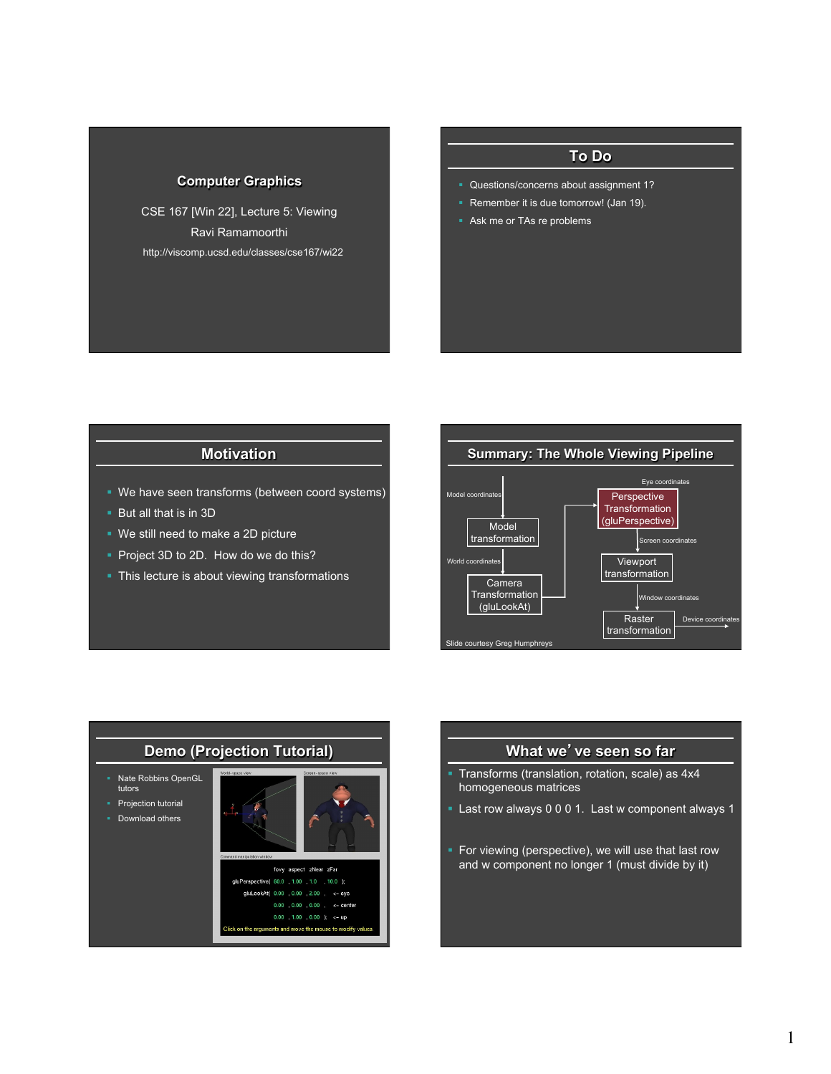#### **Computer Graphics**

CSE 167 [Win 22], Lecture 5: Viewing Ravi Ramamoorthi http://viscomp.ucsd.edu/classes/cse167/wi22

# **To Do**

- **Questions/concerns about assignment 1?**
- Remember it is due tomorrow! (Jan 19).
- **Ask me or TAs re problems**

#### **Motivation**

- We have seen transforms (between coord systems)
- But all that is in 3D
- We still need to make a 2D picture
- Project 3D to 2D. How do we do this?
- This lecture is about viewing transformations





#### **What we**'**ve seen so far**

- § Transforms (translation, rotation, scale) as 4x4 homogeneous matrices
- § Last row always 0 0 0 1. Last w component always 1
- For viewing (perspective), we will use that last row and w component no longer 1 (must divide by it)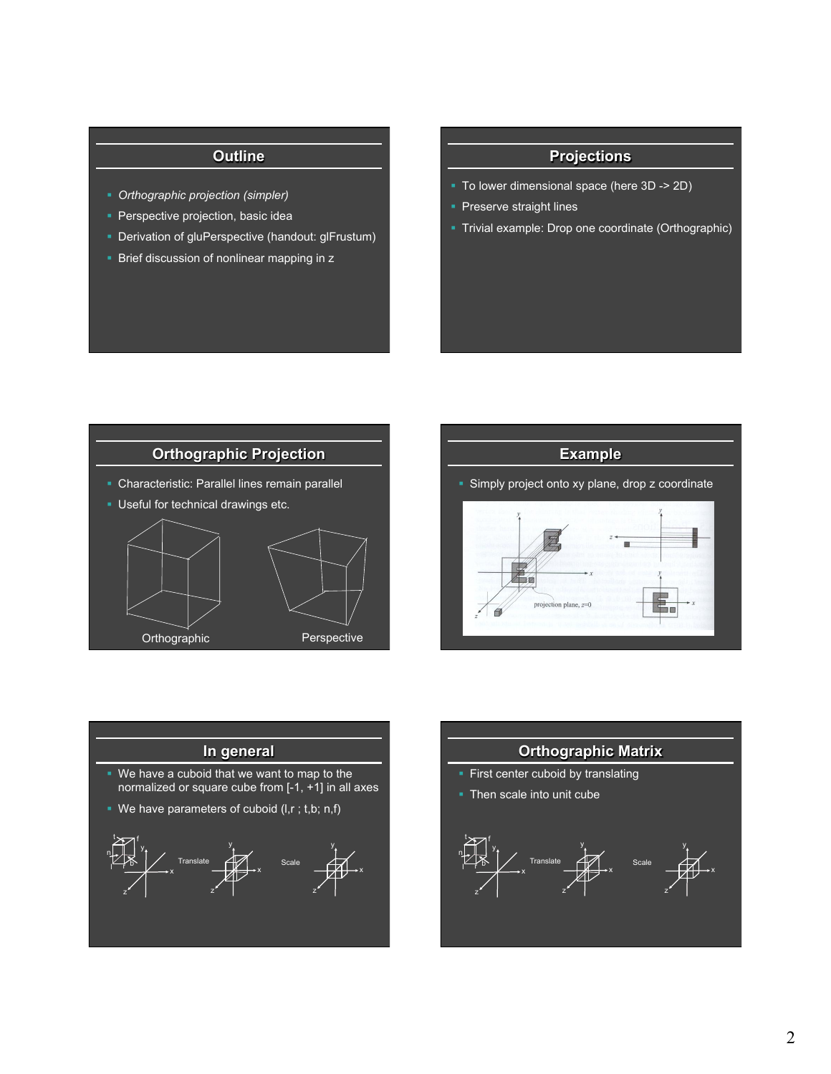- § *Orthographic projection (simpler)*
- **Perspective projection, basic idea**
- § Derivation of gluPerspective (handout: glFrustum)
- **Brief discussion of nonlinear mapping in z**

### **Projections**

- § To lower dimensional space (here 3D -> 2D)
- **Preserve straight lines**
- § Trivial example: Drop one coordinate (Orthographic)







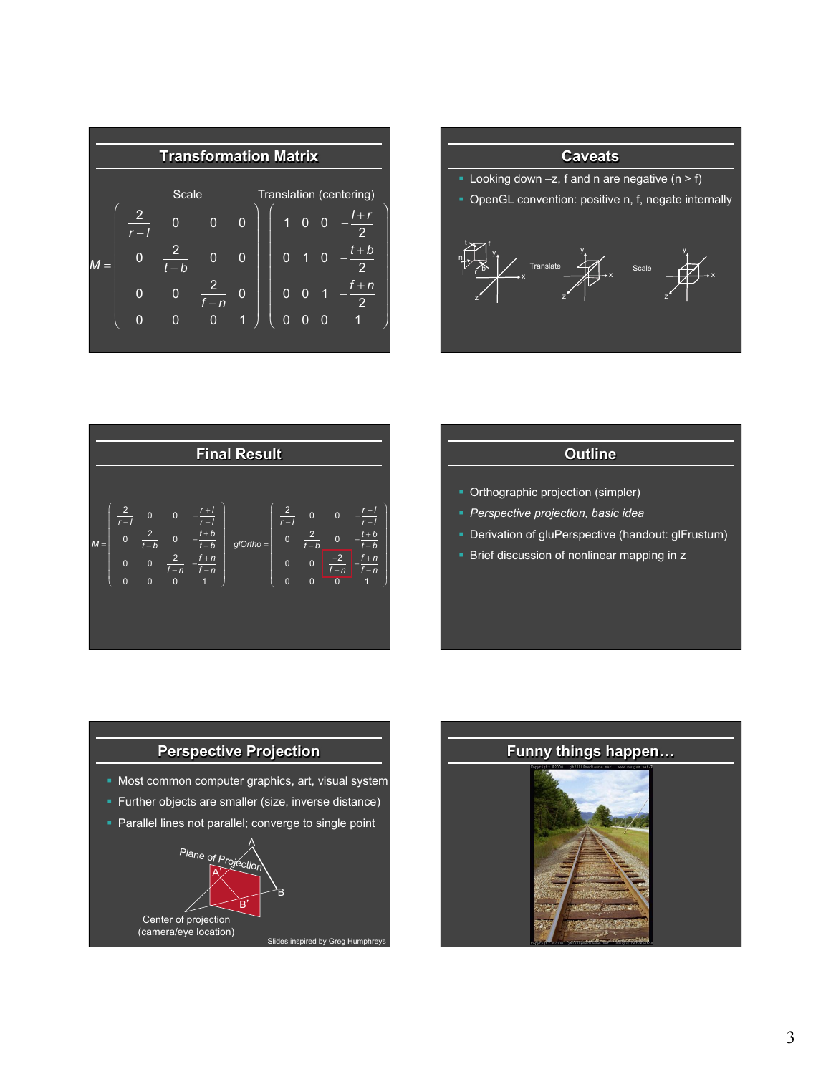





- Orthographic projection (simpler)
- § *Perspective projection, basic idea*
- **Derivation of gluPerspective (handout: glFrustum)**
- Brief discussion of nonlinear mapping in z



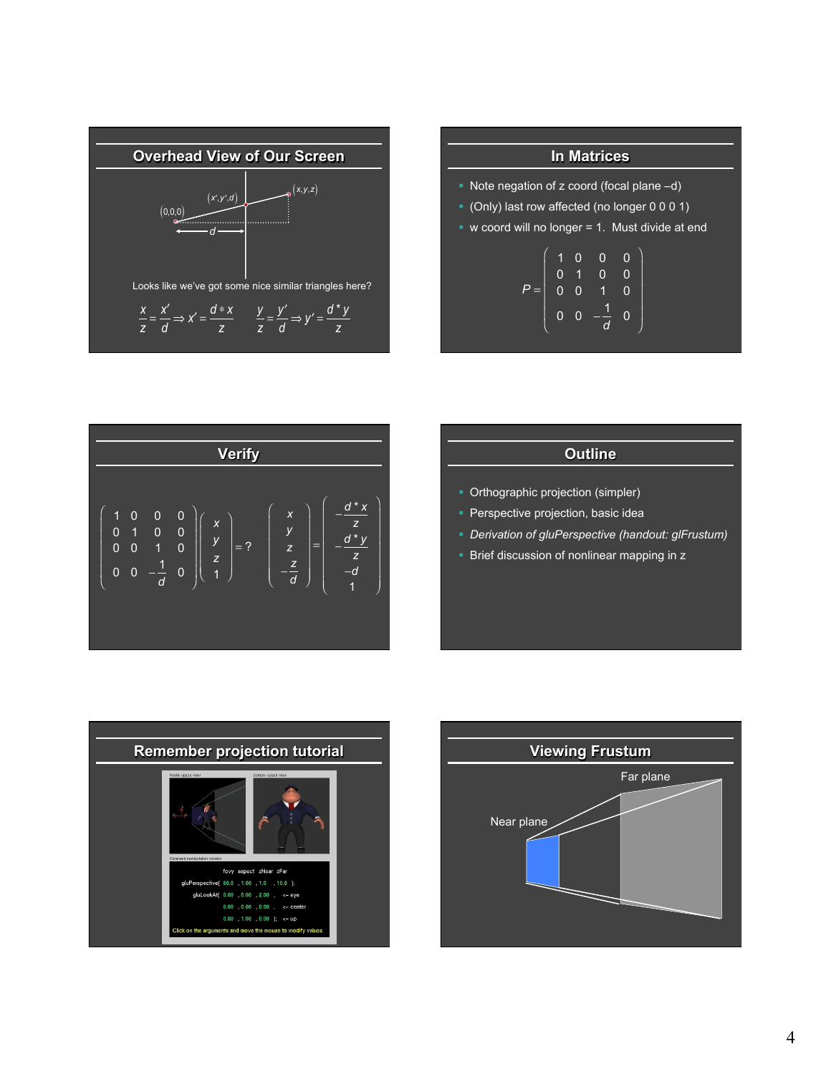

| <b>In Matrices</b><br>• Note negation of z coord (focal plane -d)<br>$\bullet$ (Only) last row affected (no longer 0 0 0 1)<br>• w coord will no longer $= 1$ . Must divide at end<br>$P = \left( \begin{array}{cccc} 1 & 0 & 0 & 0 \\ 0 & 1 & 0 & 0 \\ 0 & 0 & 1 & 0 \\ 0 & 0 & -\frac{1}{d} & 0 \end{array} \right)$ |  |  |  |  |  |  |  |  |
|------------------------------------------------------------------------------------------------------------------------------------------------------------------------------------------------------------------------------------------------------------------------------------------------------------------------|--|--|--|--|--|--|--|--|
|                                                                                                                                                                                                                                                                                                                        |  |  |  |  |  |  |  |  |
|                                                                                                                                                                                                                                                                                                                        |  |  |  |  |  |  |  |  |
|                                                                                                                                                                                                                                                                                                                        |  |  |  |  |  |  |  |  |



- Orthographic projection (simpler)
- **Perspective projection, basic idea**
- § *Derivation of gluPerspective (handout: glFrustum)*
- Brief discussion of nonlinear mapping in z



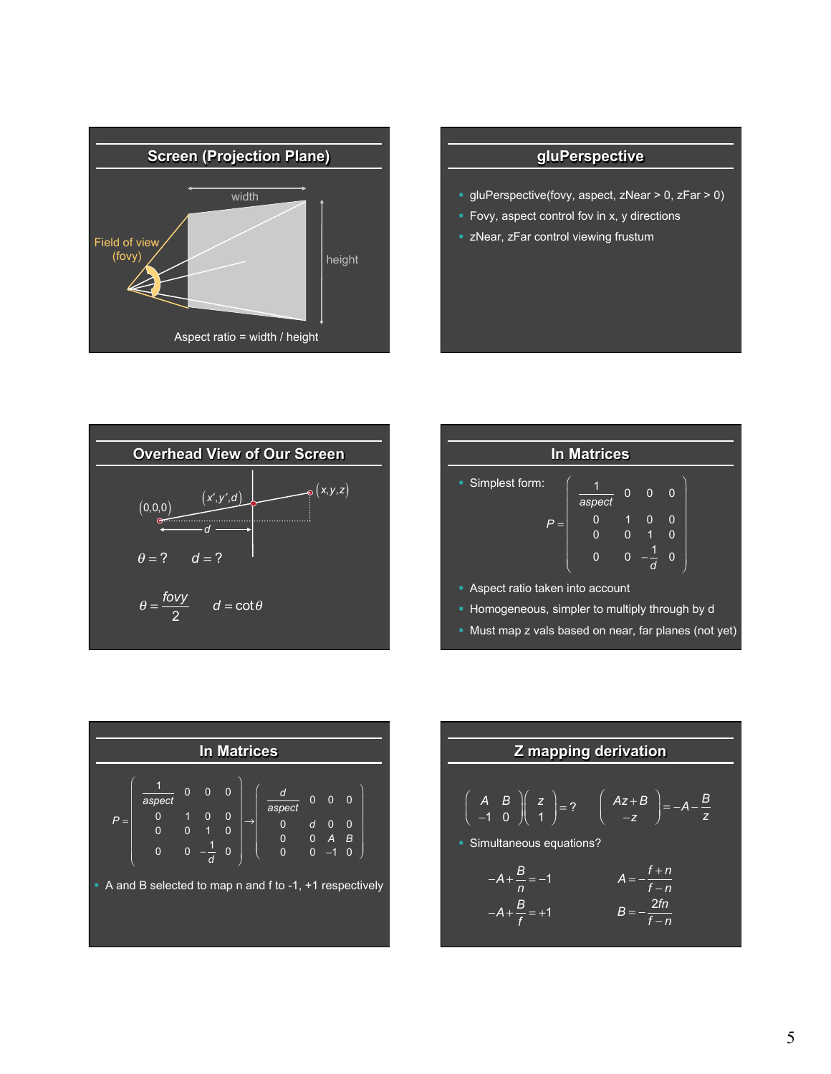

### **gluPerspective**

- § gluPerspective(fovy, aspect, zNear > 0, zFar > 0)
- Fovy, aspect control fov in x, y directions
- **Example 2 zNear, zFar control viewing frustum**



| <b>In Matrices</b>                                  |                |                                       |                |                |  |  |  |  |
|-----------------------------------------------------|----------------|---------------------------------------|----------------|----------------|--|--|--|--|
| • Simplest form:                                    | aspect         | 0                                     | $\overline{0}$ | $\Omega$       |  |  |  |  |
| $P =$                                               | $\overline{0}$ | $\begin{array}{c} 1 \\ 0 \end{array}$ | $\mathbf{0}$   | $\overline{0}$ |  |  |  |  |
|                                                     | 0              | $\overline{0}$                        |                | $\Omega$       |  |  |  |  |
| • Aspect ratio taken into account                   |                |                                       |                |                |  |  |  |  |
| Homogeneous, simpler to multiply through by d<br>٠  |                |                                       |                |                |  |  |  |  |
| Must map z vals based on near, far planes (not yet) |                |                                       |                |                |  |  |  |  |